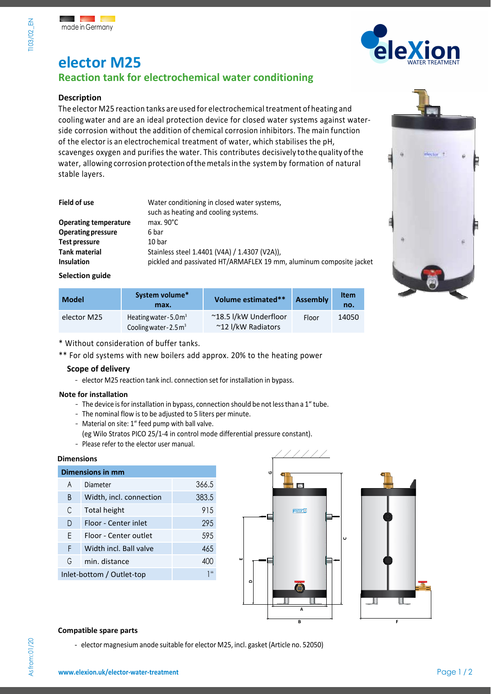**T103/02 EN** 



# **elector M25 Reaction tank for electrochemical water conditioning**

# **Description**

The elector M25 reaction tanks are used for electrochemical treatment of heating and cooling water and are an ideal protection device for closed water systems against waterside corrosion without the addition of chemical corrosion inhibitors. The main function of the elector is an electrochemical treatment of water, which stabilises the pH, scavenges oxygen and purifies the water. This contributes decisively tothe quality ofthe water, allowing corrosion protection ofthemetalsin the systemby formation of natural stable layers.

| Water conditioning in closed water systems,<br>such as heating and cooling systems. |  |
|-------------------------------------------------------------------------------------|--|
|                                                                                     |  |
| max. $90^{\circ}$ C                                                                 |  |
| 6 bar                                                                               |  |
| 10 bar                                                                              |  |
| Stainless steel 1.4401 (V4A) / 1.4307 (V2A)),                                       |  |
| pickled and passivated HT/ARMAFLEX 19 mm, aluminum composite jacket                 |  |
|                                                                                     |  |

**Selection guide** 

| <b>Model</b> | System volume*<br>max.                                                 | Volume estimated**                          | <b>Assembly</b> | <b>Item</b><br>no. |
|--------------|------------------------------------------------------------------------|---------------------------------------------|-----------------|--------------------|
| elector M25  | Heating water - $5.0 \text{ m}^3$<br>Cooling water - $2.5 \text{ m}^3$ | ~18.5 l/kW Underfloor<br>~12 I/kW Radiators | Floor           | 14050              |

\* Without consideration of buffer tanks.

\*\* For old systems with new boilers add approx. 20% to the heating power

## **Scope of delivery**

- elector M25 reaction tank incl. connection set for installation in bypass.

### **Note for installation**

- The device is for installation in bypass, connection should be not less than a 1" tube.
- The nominal flow is to be adjusted to 5 liters per minute.
- Material on site: 1" feed pump with ball valve.
- (eg Wilo Stratos PICO 25/1-4 in control mode differential pressure constant).
- Please refer to the elector user manual.

## **Dimensions**

| <b>Dimensions in mm</b>               |                         |       |  |  |
|---------------------------------------|-------------------------|-------|--|--|
| A                                     | Diameter                | 366.5 |  |  |
| B                                     | Width, incl. connection | 383.5 |  |  |
| C                                     | Total height            | 915   |  |  |
| D                                     | Floor - Center inlet    | 29.5  |  |  |
| F                                     | Floor - Center outlet   | 595   |  |  |
| F                                     | Width incl. Ball valve  | 46.5  |  |  |
| G                                     | min. distance           | 400   |  |  |
| $1^{11}$<br>Inlet-bottom / Outlet-top |                         |       |  |  |
|                                       |                         |       |  |  |





### **Compatible spare parts**

- elector magnesium anode suitable for elector M25, incl. gasket (Article no. 52050)